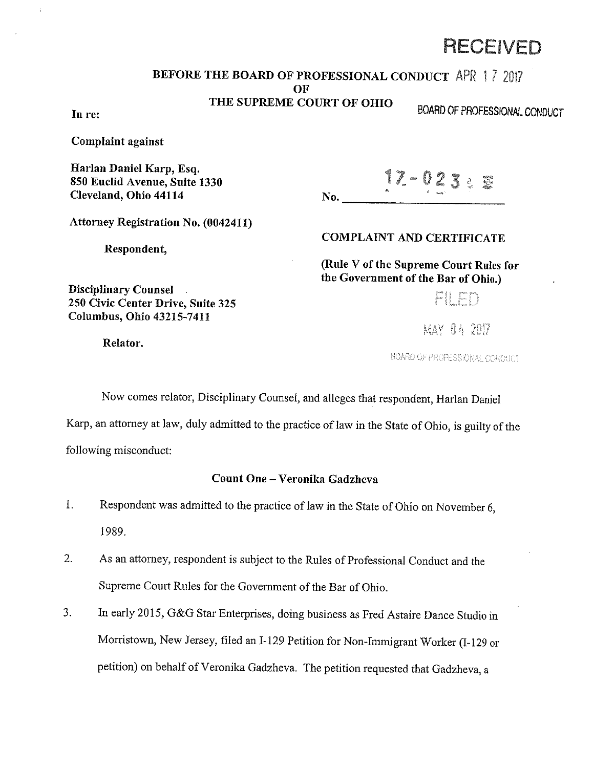# RECEIVED

### BEFORE THE BOARD OF PROFESSIONAL CONDUCT APR 1 *7*

No.

OF

THE SUPREME COURT OF OHIO

In re: EXAMPLE 2001 AND 2002 AND 2002 AND 2002 AND 2002 AND 2002 AND 2002 AND 2002 AND 2002 AND 2002 AND 2002 AND 2002 AND 2002 AND 2002 AND 2002 AND 2002 AND 2002 AND 2002 AND 2002 AND 2002 AND 2002 AND 2002 AND 2002 AND

Complaint against

Harlan Daniel Karp, Esq. 850 Euclid Avenue, Suite 1330 Cleveland, Ohio 44114

-021

Attorney Registration No. (0042411)

250 Civic Center Drive, Suite 325 Columbus, Ohio 43215-7411

Respondent,

COMPLAINT AND CERTIFICATE

(Rule V of the Supreme Court Rules for the Government of the Bar of Ohio.)

FI FD

MAY 04 2017

BOARD OF PROFESSIONAL CONDUCT

Now comes relator, Disciplinary Counsel, and alleges that respondent, Harlan Daniel

Karp, an attorney at law, duly admitted to the practice of law in the State of Ohio, is guilty of the following misconduct:

# Count One- Veronika Gadzheva

- 1. Respondent was admitted to the practice of law in the State of Ohio on November 6, 1989.
- 2. As an attorney, respondent is subject to the Rules of Professional Conduct and the Supreme Court Rules for the Government of the Bar of Ohio.
- 3. In early 2015, G&G Star Enterprises, doing business as Fred Astaire Dance Studio in Morristown, New Jersey, filed an I-129 Petition for Non-Immigrant Worker (I-129 or petition) on behalf of Veronika Gadzheva. The petition requested that Gadzheva, a

Relator.

Disciplinary Counsel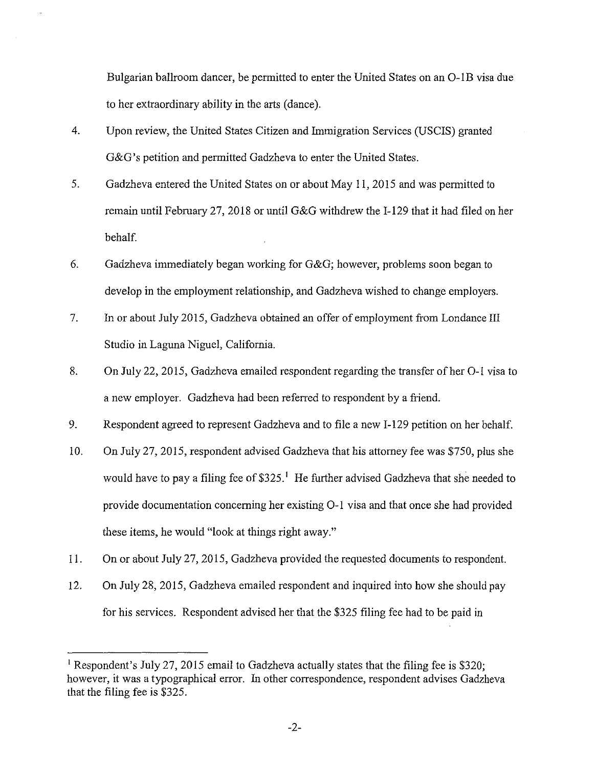Bulgarian ballroom dancer, be permitted to enter the United States on an O-1B visa due to her extraordinary ability in the arts (dance).

- 4. Upon review, the United States Citizen and Immigration Services (USCIS) granted G&G's petition and permitted Gadzheva to enter the United States.
- 5. Gadzheva entered the United States on or about May 11, 2015 and was permitted to remain until February 27, 2018 or until G&G withdrew the I-129 that it had filed on her behalf.
- 6. Gadzheva immediately began working for G&G; however, problems soon began to develop in the employment relationship, and Gadzheva wished to change employers.
- 7. In or about July 2015, Gadzheva obtained an offer of employment from Londance III Studio in Laguna Niguel, California.
- 8. On July 22, 2015, Gadzheva emailed respondent regarding the transfer of her 0-1 visa to a new employer. Gadzheva had been referred to respondent by a friend.
- 9. Respondent agreed to represent Gadzheva and to file a new I-129 petition on her behalf.
- 10. On July 27, 2015, respondent advised Gadzheva that his attorney fee was \$750, plus she would have to pay a filing fee of  $$325<sup>1</sup>$  He further advised Gadzheva that she needed to provide documentation concerning her existing 0-1 visa and that once she had provided these items, he would "look at things right away."
- 11. On or about July 27, 2015, Gadzheva provided the requested documents to respondent.
- 12. On July 28, 2015, Gadzheva emailed respondent and inquired into how she should pay for his services. Respondent advised her that the \$325 filing fee had to be paid in

<sup>&</sup>lt;sup>1</sup> Respondent's July 27, 2015 email to Gadzheva actually states that the filing fee is \$320; however, it was a typographical error. In other correspondence, respondent advises Gadzheva that the filing fee is \$325.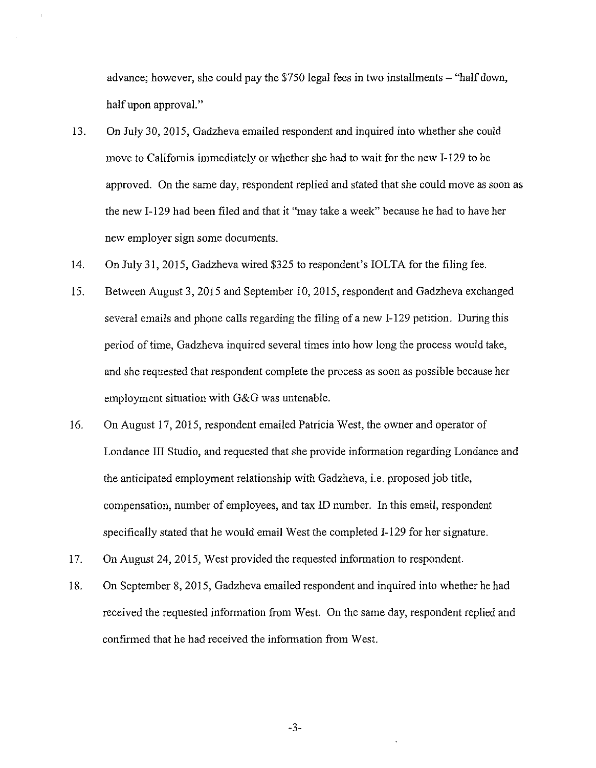advance; however, she could pay the \$750 legal fees in two installments  $-$  "half down, half upon approval."

- 13. On July 30, 2015, Gadzheva emailed respondent and inquired into whether she could move to California immediately or whether she had to wait for the new I-129 to be approved. On the same day, respondent replied and stated that she could move as soon as the new I-129 had been filed and that it "may take a week" because he had to have her new employer sign some documents.
- 14. On July 31, 2015, Gadzheva wired \$325 to respondent's IOLTA for the filing fee.
- 15. Between August 3, 2015 and September 10, 2015, respondent and Gadzheva exchanged several emails and phone calls regarding the filing of a new I-129 petition. During this period of time, Gadzheva inquired several times into how long the process would take, and she requested that respondent complete the process as soon as possible because her employment situation with G&G was untenable.
- 16. On August 17, 2015, respondent emailed Patricia West, the owner and operator of Londance III Studio, and requested that she provide information regarding Londance and the anticipated employment relationship with Gadzheva, i.e. proposed job title, compensation, number of employees, and tax ID number. In this email, respondent specifically stated that he would email West the completed I-129 for her signature.
- 17. On August 24, 2015, West provided the requested information to respondent.
- 18. On September 8, 2015, Gadzheva emailed respondent and inquired into whether he had received the requested information from West. On the same day, respondent replied and confirmed that he had received the information from West.

-3-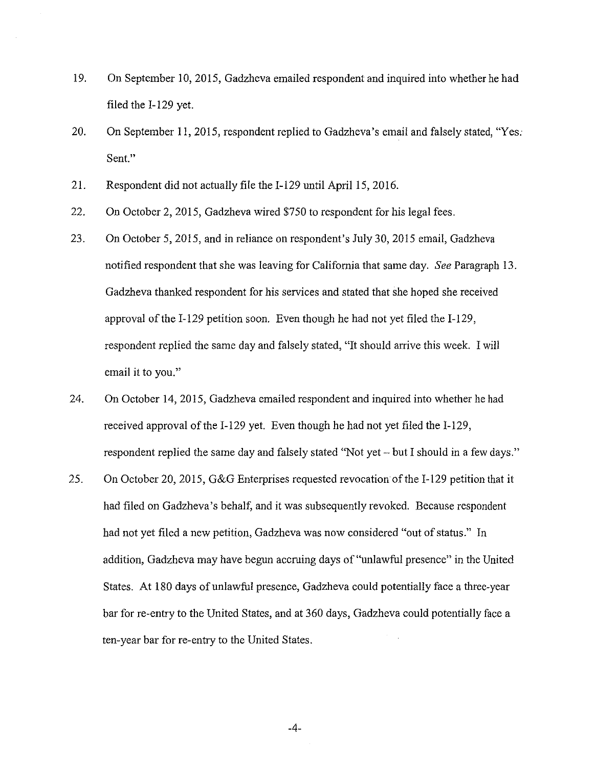- 19. On September 10, 2015, Gadzheva emailed respondent and inquired into whether he had filed the I-129 yet.
- 20. On September 11, 2015, respondent replied to Gadzheva's email and falsely stated, "Yes. Sent."
- 21. Respondent did not actually file the I-129 until April 15, 2016.
- 22. On October 2, 2015, Gadzheva wired \$750 to respondent for his legal fees.
- 23. On October 5, 2015, and in reliance on respondent's July 30, 2015 email, Gadzheva notified respondent that she was leaving for California that same day. *See* Paragraph 13. Gadzheva thanked respondent for his services and stated that she hoped she received approval of the I-129 petition soon. Even though he had not yet filed the I-129, respondent replied the same day and falsely stated, "It should arrive this week. I will email it to you."
- 24. On October 14, 2015, Gadzheva emailed respondent and inquired into whether he had received approval of the I-129 yet. Even though he had not yet filed the I-129, respondent replied the same day and falsely stated "Not yet - but I should in a few days."
- 25. On October 20, 2015, G&G Enterprises requested revocation of the I-129 petition that it had filed on Gadzheva's behalf, and it was subsequently revoked. Because respondent had not yet filed a new petition, Gadzheva was now considered "out of status." In addition, Gadzheva may have begun accruing days of "unlawful presence" in the United States. At 180 days of unlawful presence, Gadzheva could potentially face a three-year bar for re-entry to the United States, and at 360 days, Gadzheva could potentially face a ten-year bar for re-entry to the United States.

-4-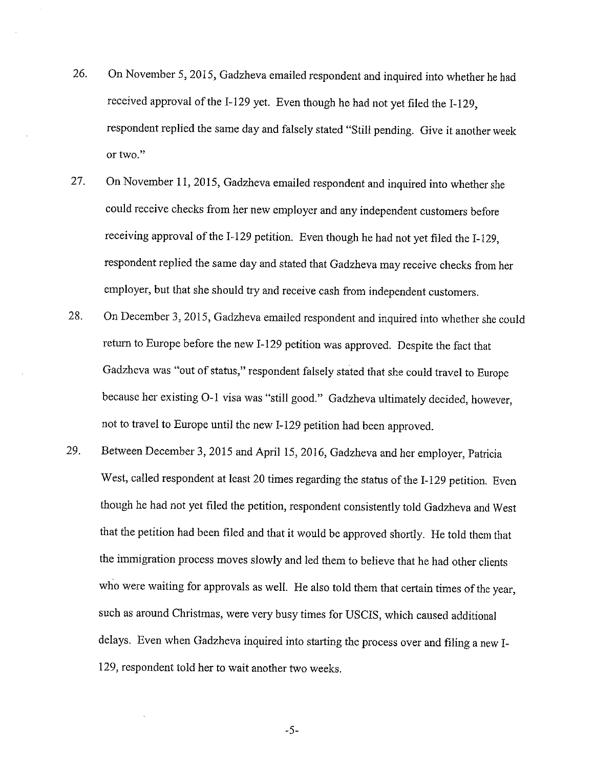- 26. On November 5, 2015, Gadzheva emailed respondent and inquired into whether he had received approval of the I-129 yet. Even though he had not yet filed the I-129, respondent replied the same day and falsely stated "Still pending. Give it another week or two."
- 27. On November 11, 2015, Gadzheva emailed respondent and inquired into whether she could receive checks from her new employer and any independent customers before receiving approval of the I-129 petition. Even though he had not yet filed the I-129, respondent replied the same day and stated that Gadzheva may receive checks from her employer, but that she should try and receive cash from independent customers.
- 28. On December 3, 2015, Gadzheva emailed respondent and inquired into whether she could return to Europe before the new I-129 petition was approved. Despite the fact that Gadzheva was "out of status," respondent falsely stated that she could travel to Europe because her existing 0-1 visa was "still good." Gadzheva ultimately decided, however, not to travel to Europe until the new I-129 petition had been approved.
- 29. Between December 3, 2015 and April 15, 2016, Gadzheva and her employer, Patricia West, called respondent at least 20 times regarding the status of the I-129 petition. Even though he had not yet filed the petition, respondent consistently told Gadzheva and West that the petition had been filed and that it would be approved shortly. He told them that the immigration process moves slowly and led them to believe that he had other clients who were waiting for approvals as well. He also told them that certain times of the year, such as around Christmas, were very busy times for USCIS, which caused additional delays. Even when Gadzheva inquired into starting the process over and filing a new I-129, respondent told her to wait another two weeks.

-5-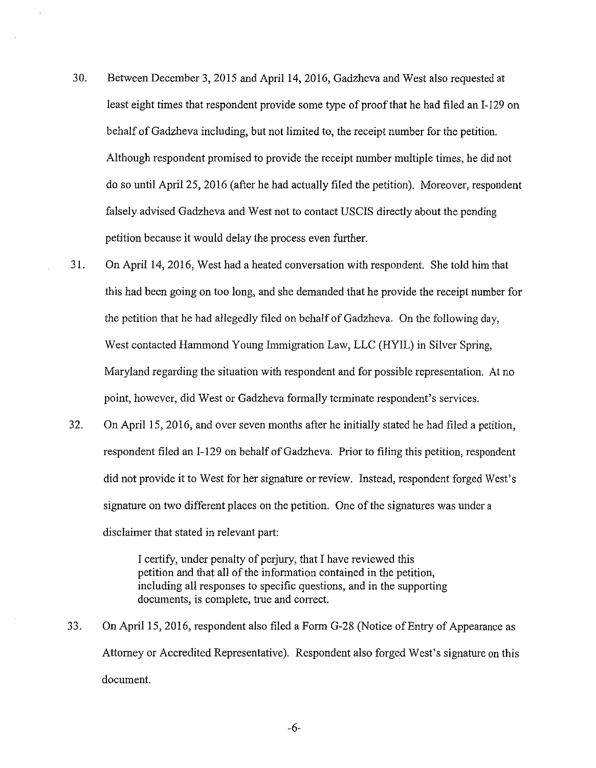- 30. Between December 3, 2015 and April 14, 2016, Gadzheva and West also requested at least eight times that respondent provide some type of proof that he had filed an I-129 on behalf of Gadzheva including, but not limited to, the receipt number for the petition. Although respondent promised to provide the receipt number multiple times, he did not do so until April 25, 2016 (after he had actually filed the petition). Moreover, respondent falsely advised Gadzheva and West not to contact USCIS directly about the pending petition because it would delay the process even further.
- 31. On April 14, 2016, West had a heated conversation with respondent. She told him that this had been going on too long, and she demanded that he provide the receipt number for the petition that he had allegedly filed on behalf of Gadzheva. On the following day, West contacted Hammond Young Immigration Law, LLC (HYIL) in Silver Spring, Maryland regarding the situation with respondent and for possible representation. At no point, however, did West or Gadzheva formally terminate respondent's services.
- 32. On April 15, 2016, and over seven months after he initially stated he had filed a petition, respondent filed an I-129 on behalf of Gadzheva. Prior to filing this petition, respondent did not provide it to West for her signature or review. Instead, respondent forged West's signature on two different places on the petition. One of the signatures was under a disclaimer that stated in relevant part:

I certify, under penalty of perjury, that I have reviewed this petition and that all of the information contained in the petition, including all responses to specific questions, and in the supporting documents, is complete, true and correct.

33. On April 15, 2016, respondent also filed a Form G-28 (Notice of Entry of Appearance as Attorney or Accredited Representative). Respondent also forged West's signature on this document.

-6-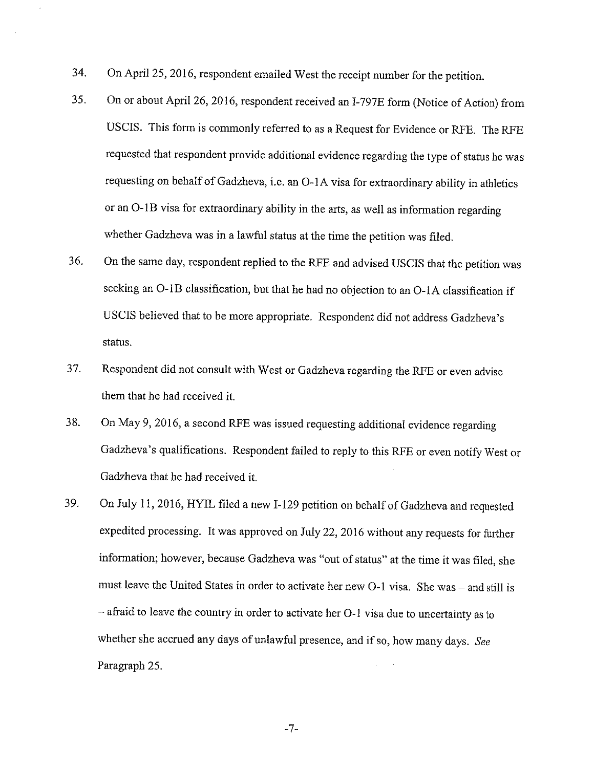- 34. On April 25, 2016, respondent emailed West the receipt number for the petition.
- 35. On or about April 26, 2016, respondent received an I-797E form (Notice of Action) from USCIS. This form is commonly referred to as a Request for Evidence or RFE. The RFE requested that respondent provide additional evidence regarding the type of status he was requesting on behalf of Gadzheva, i.e. an 0-1 A visa for extraordinary ability in athletics or an 0-lB visa for extraordinary ability in the arts, as well as information regarding whether Gadzheva was in a lawful status at the time the petition was filed.
- 36. On the same day, respondent replied to the RFE and advised USCIS that the petition was seeking an 0-lB classification, but that he had no objection to an 0-lA classification if USCIS believed that to be more appropriate. Respondent did not address Gadzheva's status.
- 3 7. Respondent did not consult with West or Gadzheva regarding the RFE or even advise them that he had received it.
- 38. On May 9, 2016, a second RFE was issued requesting additional evidence regarding Gadzheva's qualifications. Respondent failed to reply to this RFE or even notify West or Gadzheva that he had received it.
- 39. On July 11, 2016, HYIL filed a new I-129 petition on behalf of Gadzheva and requested expedited processing. It was approved on July 22, 2016 without any requests for further information; however, because Gadzheva was "out of status" at the time it was filed, she must leave the United States in order to activate her new O-1 visa. She was - and still is - afraid to leave the country in order to activate her 0-1 visa due to uncertainty as to whether she accrued any days of unlawful presence, and if so, how many days. *See*  Paragraph 25.

-7-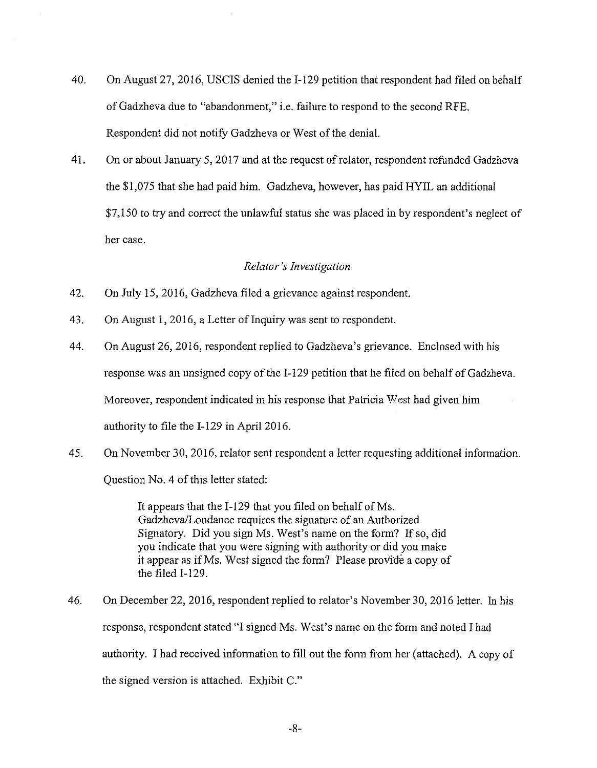- 40. On August 27, 2016, USCIS denied the I-129 petition that respondent had filed on behalf of Gadzheva due to "abandonment," i.e. failure to respond to the second RFE. Respondent did not notify Gadzheva or West of the denial.
- 41. On or about January 5, 2017 and at the request ofrelator, respondent refunded Gadzheva the \$1,075 that she had paid him. Gadzheva, however, has paid HYIL an additional \$7,150 to try and correct the unlawful status she was placed in by respondent's neglect of her case.

#### *Relator's Investigation*

- 42. On July 15, 2016, Gadzheva filed a grievance against respondent.
- 43. On August 1, 2016, a Letter of Inquiry was sent to respondent.
- 44. On August 26, 2016, respondent replied to Gadzheva's grievance. Enclosed with his response was an unsigned copy of the I-129 petition that he filed on behalf of Gadzheva. Moreover, respondent indicated in his response that Patricia *'Nest* had given him authority to file the I-129 in April 2016.
- 45. On November 30, 2016, relator sent respondent a letter requesting additional information.

Question No. 4 of this letter stated:

It appears that the I-129 that you filed on behalf of Ms. Gadzheva/Londance requires the signature of an Authorized Signatory. Did you sign Ms. West's name on the form? If so, did you indicate that you were signing with authority or did you make it appear as if Ms. West signed the form? Please provide a copy of the filed I-129.

46. On December 22, 2016, respondent replied to relator's November 30, 2016 letter. In his response, respondent stated "I signed Ms. West's name on the form and noted I had authority. I had received information to fill out the form from her (attached). A copy of the signed version is attached. Exhibit C."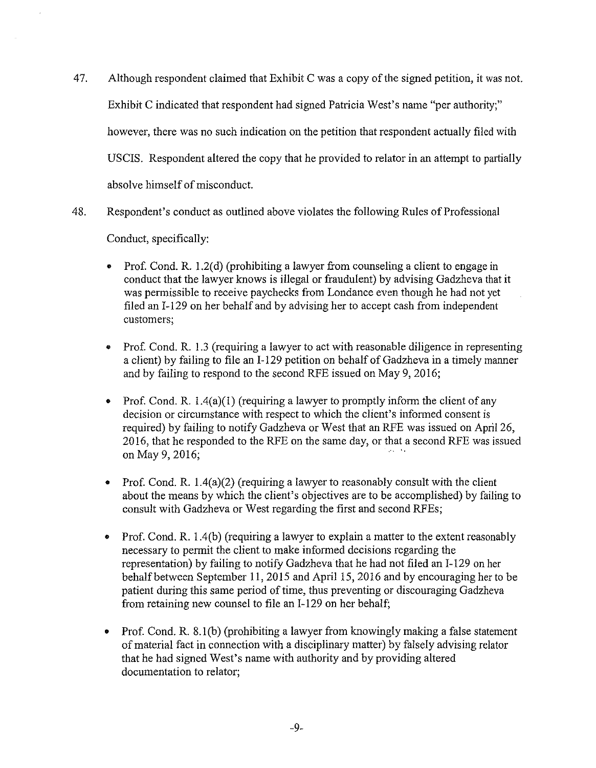- 47. Although respondent claimed that Exhibit C was a copy of the signed petition, it was not. Exhibit C indicated that respondent had signed Patricia West's name "per authority;" however, there was no such indication on the petition that respondent actually filed with USCIS. Respondent altered the copy that he provided to relator in an attempt to partially absolve himself of misconduct.
- 48. Respondent's conduct as outlined above violates the following Rules of Professional

Conduct, specifically:

- Prof. Cond. R. 1.2( d) (prohibiting a lawyer from counseling a client to engage in conduct that the lawyer knows is illegal or fraudulent) by advising Gadzheva that it was permissible to receive paychecks from Londance even though he had not yet filed an I-129 on her behalf and by advising her to accept cash from independent customers;
- Prof. Cond. R. 1.3 (requiring a lawyer to act with reasonable diligence in representing a client) by failing to file an I-129 petition on behalf of Gadzheva in a timely manner and by failing to respond to the second RFE issued on May 9, 2016;
- Prof. Cond. R. 1.4(a)(l) (requiring a lawyer to promptly inform the client of any decision or circumstance with respect to which the client's informed consent is required) by failing to notify Gadzheva or West that an RFE was issued on April 26, 2016, that he responded to the RFE on the same day, or that a second RFE was issued on May 9, 2016;
- Prof. Cond. R. 1.4(a)(2) (requiring a lawyer to reasonably consult with the client about the means by which the client's objectives are to be accomplished) by failing to consult with Gadzheva or West regarding the first and second RFEs;
- Prof. Cond. R. 1.4(b) (requiring a lawyer to explain a matter to the extent reasonably necessary to permit the client to make informed decisions regarding the representation) by failing to notify Gadzheva that he had not filed an I-129 on her behalf between September 11, 2015 and April 15, 2016 and by encouraging her to be patient during this same period of time, thus preventing or discouraging Gadzheva from retaining new counsel to file an I-129 on her behalf;
- Prof. Cond. R. 8.1(b) (prohibiting a lawyer from knowingly making a false statement of material fact in connection with a disciplinary matter) by falsely advising relator that he had signed West's name with authority and by providing altered documentation to relator;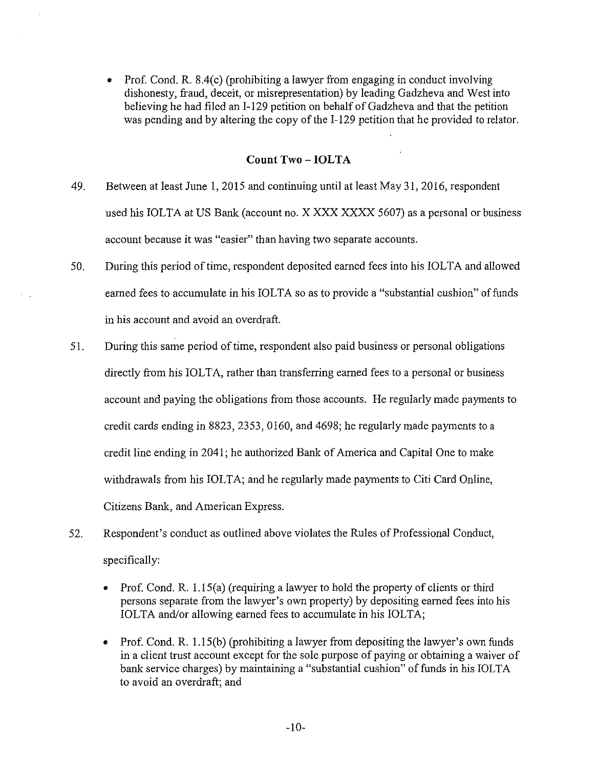• Prof. Cond. R. 8.4(c) (prohibiting a lawyer from engaging in conduct involving dishonesty, fraud, deceit, or misrepresentation) by leading Gadzheva and West into believing he had filed an I-129 petition on behalf of Gadzheva and that the petition was pending and by altering the copy of the I-129 petition that he provided to relator.

## **Count Two -IOLTA**

- 49. Between at leastJune 1, 2015 and continuing until at least May 31, 2016, respondent used his IOLTA at US Bank (account no. X XXX XXXX 5607) as a personal or business account because it was "easier" than having two separate accounts.
- 50. During this period of time, respondent deposited earned fees into his IOLTA and allowed earned fees to accumulate in his IOLTA so as to provide a "substantial cushion" of funds in his account and avoid an overdraft.
- 51. During this same period of time, respondent also paid business or personal obligations directly from his IOLTA, rather than transferring earned fees to a personal or business account and paying the obligations from those accounts. He regularly made payments to credit cards ending in 8823, 2353, 0160, and 4698; he regularly made payments to a credit line ending in 2041; he authorized Bank of America and Capital One to make withdrawals from his IOLTA; and he regularly made payments to Citi Card Online, Citizens Bank, and American Express.
- 52. Respondent's conduct as outlined above violates the Rules of Professional Conduct, specifically:
	- Prof. Cond. R. l. l 5(a) (requiring a lawyer to hold the property of clients or third persons separate from the lawyer's own property) by depositing earned fees into his IOLTA and/or allowing earned fees to accumulate in his IOLTA;
	- Prof. Cond. R. l.15(b) (prohibiting a lawyer from depositing the lawyer's own funds in a client trust account except for the sole purpose of paying or obtaining a waiver of bank service charges) by maintaining a "substantial cushion" of funds in his IOLTA to avoid an overdraft; and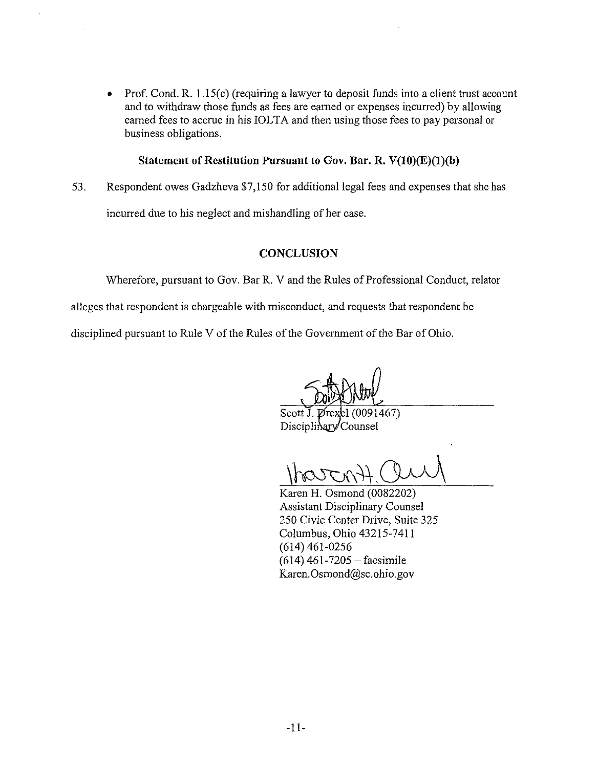• Prof. Cond. R. 1.15(c) (requiring a lawyer to deposit funds into a client trust account and to withdraw those funds as fees are earned or expenses incurred) by allowing earned fees to accrue in his IOLTA and then using those fees to pay personal or business obligations.

### **Statement of Restitution Pursuant to Gov. Bar. R. V(IO)(E)(l)(b)**

53. Respondent owes Gadzheva \$7,150 for additional legal fees and expenses that she has

incurred due to his neglect and mishandling of her case.

# **CONCLUSION**

Wherefore, pursuant to Gov. Bar R. V and the Rules of Professional Conduct, relator

alleges that respondent is chargeable with misconduct, and requests that respondent be

disciplined pursuant to Rule V of the Rules of the Government of the Bar of Ohio.

Scott J. Drexel (0091467) Disciplinary Counsel

Karen H. Osmond (0082202) Assistant Disciplinary Counsel 250 Civic Center Drive, Suite 325 Columbus, Ohio 43215-7411 (614) 461-0256  $(614)$  461-7205 - facsimile Karen.Osmond@sc.ohio.gov